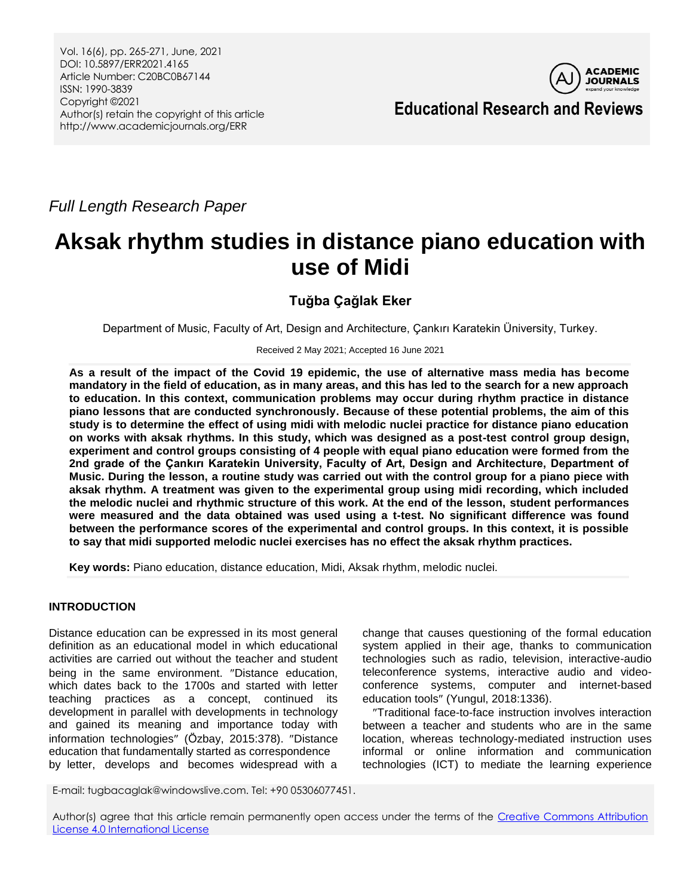Vol. 16(6), pp. 265-271, June, 2021 DOI: 10.5897/ERR2021.4165 Article Number: C20BC0B67144 ISSN: 1990-3839 Copyright ©2021 Author(s) retain the copyright of this article http://www.academicjournals.org/ERR



**Educational Research and Reviews**

*Full Length Research Paper*

# **Aksak rhythm studies in distance piano education with use of Midi**

## **Tuğba Çağlak Eker**

Department of Music, Faculty of Art, Design and Architecture, Çankırı Karatekin Üniversity, Turkey.

Received 2 May 2021; Accepted 16 June 2021

**As a result of the impact of the Covid 19 epidemic, the use of alternative mass media has become mandatory in the field of education, as in many areas, and this has led to the search for a new approach to education. In this context, communication problems may occur during rhythm practice in distance piano lessons that are conducted synchronously. Because of these potential problems, the aim of this study is to determine the effect of using midi with melodic nuclei practice for distance piano education on works with aksak rhythms. In this study, which was designed as a post-test control group design, experiment and control groups consisting of 4 people with equal piano education were formed from the 2nd grade of the Çankırı Karatekin University, Faculty of Art, Design and Architecture, Department of Music. During the lesson, a routine study was carried out with the control group for a piano piece with aksak rhythm. A treatment was given to the experimental group using midi recording, which included the melodic nuclei and rhythmic structure of this work. At the end of the lesson, student performances were measured and the data obtained was used using a t-test. No significant difference was found between the performance scores of the experimental and control groups. In this context, it is possible to say that midi supported melodic nuclei exercises has no effect the aksak rhythm practices.**

**Key words:** Piano education, distance education, Midi, Aksak rhythm, melodic nuclei.

## **INTRODUCTION**

Distance education can be expressed in its most general definition as an educational model in which educational activities are carried out without the teacher and student being in the same environment. "Distance education, which dates back to the 1700s and started with letter teaching practices as a concept, continued its development in parallel with developments in technology and gained its meaning and importance today with information technologies" (Özbay, 2015:378). "Distance education that fundamentally started as correspondence by letter, develops and becomes widespread with a

change that causes questioning of the formal education system applied in their age, thanks to communication technologies such as radio, television, interactive-audio teleconference systems, interactive audio and videoconference systems, computer and internet-based education tools" (Yungul, 2018:1336).

Traditional face-to-face instruction involves interaction between a teacher and students who are in the same location, whereas technology-mediated instruction uses informal or online information and communication technologies (ICT) to mediate the learning experience

E-mail: tugbacaglak@windowslive.com. Tel: +90 05306077451.

Author(s) agree that this article remain permanently open access under the terms of the Creative Commons Attribution [License 4.0 International License](http://creativecommons.org/licenses/by/4.0/deed.en_US)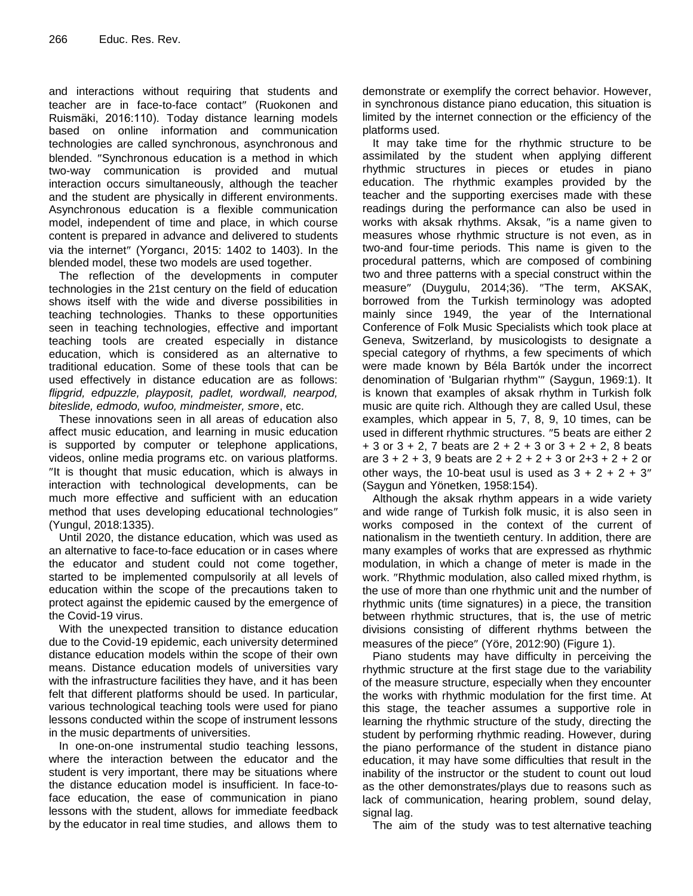and interactions without requiring that students and teacher are in face-to-face contact" (Ruokonen and Ruismäki, 2016:110). Today distance learning models based on online information and communication technologies are called synchronous, asynchronous and blended. "Synchronous education is a method in which two-way communication is provided and mutual interaction occurs simultaneously, although the teacher and the student are physically in different environments. Asynchronous education is a flexible communication model, independent of time and place, in which course content is prepared in advance and delivered to students via the internet" (Yorgancı, 2015: 1402 to 1403). In the blended model, these two models are used together.

The reflection of the developments in computer technologies in the 21st century on the field of education shows itself with the wide and diverse possibilities in teaching technologies. Thanks to these opportunities seen in teaching technologies, effective and important teaching tools are created especially in distance education, which is considered as an alternative to traditional education. Some of these tools that can be used effectively in distance education are as follows: *flipgrid, edpuzzle, playposit, padlet, wordwall, nearpod, biteslide, edmodo, wufoo, mindmeister, smore*, etc.

These innovations seen in all areas of education also affect music education, and learning in music education is supported by computer or telephone applications, videos, online media programs etc. on various platforms. "It is thought that music education, which is always in interaction with technological developments, can be much more effective and sufficient with an education method that uses developing educational technologies (Yungul, 2018:1335).

Until 2020, the distance education, which was used as an alternative to face-to-face education or in cases where the educator and student could not come together, started to be implemented compulsorily at all levels of education within the scope of the precautions taken to protect against the epidemic caused by the emergence of the Covid-19 virus.

With the unexpected transition to distance education due to the Covid-19 epidemic, each university determined distance education models within the scope of their own means. Distance education models of universities vary with the infrastructure facilities they have, and it has been felt that different platforms should be used. In particular, various technological teaching tools were used for piano lessons conducted within the scope of instrument lessons in the music departments of universities.

In one-on-one instrumental studio teaching lessons, where the interaction between the educator and the student is very important, there may be situations where the distance education model is insufficient. In face-toface education, the ease of communication in piano lessons with the student, allows for immediate feedback by the educator in real time studies, and allows them to

demonstrate or exemplify the correct behavior. However, in synchronous distance piano education, this situation is limited by the internet connection or the efficiency of the platforms used.

It may take time for the rhythmic structure to be assimilated by the student when applying different rhythmic structures in pieces or etudes in piano education. The rhythmic examples provided by the teacher and the supporting exercises made with these readings during the performance can also be used in works with aksak rhythms. Aksak, "is a name given to measures whose rhythmic structure is not even, as in two-and four-time periods. This name is given to the procedural patterns, which are composed of combining two and three patterns with a special construct within the measure" (Duygulu, 2014;36). "The term, AKSAK, borrowed from the Turkish terminology was adopted mainly since 1949, the year of the International Conference of Folk Music Specialists which took place at Geneva, Switzerland, by musicologists to designate a special category of rhythms, a few speciments of which were made known by Béla Bartók under the incorrect denomination of 'Bulgarian rhythm'" (Saygun, 1969:1). It is known that examples of aksak rhythm in Turkish folk music are quite rich. Although they are called Usul, these examples, which appear in 5, 7, 8, 9, 10 times, can be used in different rhythmic structures. "5 beats are either 2  $+ 3$  or  $3 + 2$ , 7 beats are  $2 + 2 + 3$  or  $3 + 2 + 2$ , 8 beats are  $3 + 2 + 3$ , 9 beats are  $2 + 2 + 2 + 3$  or  $2 + 3 + 2 + 2$  or other ways, the 10-beat usul is used as  $3 + 2 + 2 + 3$ " (Saygun and Yönetken, 1958:154).

Although the aksak rhythm appears in a wide variety and wide range of Turkish folk music, it is also seen in works composed in the context of the current of nationalism in the twentieth century. In addition, there are many examples of works that are expressed as rhythmic modulation, in which a change of meter is made in the work. "Rhythmic modulation, also called mixed rhythm, is the use of more than one rhythmic unit and the number of rhythmic units (time signatures) in a piece, the transition between rhythmic structures, that is, the use of metric divisions consisting of different rhythms between the measures of the piece" (Yöre, 2012:90) (Figure 1).

Piano students may have difficulty in perceiving the rhythmic structure at the first stage due to the variability of the measure structure, especially when they encounter the works with rhythmic modulation for the first time. At this stage, the teacher assumes a supportive role in learning the rhythmic structure of the study, directing the student by performing rhythmic reading. However, during the piano performance of the student in distance piano education, it may have some difficulties that result in the inability of the instructor or the student to count out loud as the other demonstrates/plays due to reasons such as lack of communication, hearing problem, sound delay, signal lag.

The aim of the study was to test alternative teaching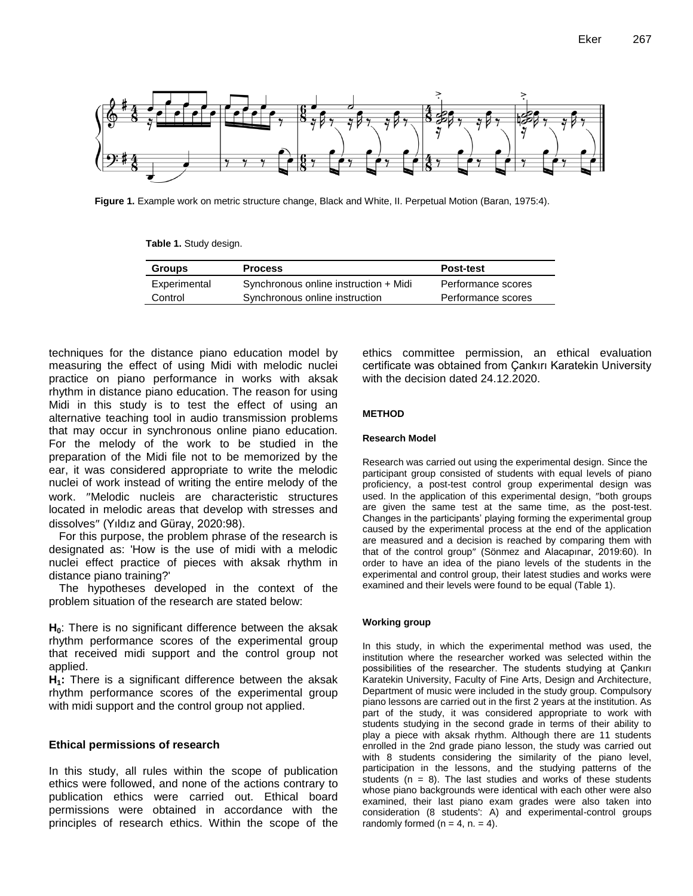

**Figure 1.** Example work on metric structure change, Black and White, II. Perpetual Motion (Baran, 1975:4).

**Table 1.** Study design.

| <b>Groups</b> | <b>Process</b>                        | <b>Post-test</b>   |
|---------------|---------------------------------------|--------------------|
| Experimental  | Synchronous online instruction + Midi | Performance scores |
| Control       | Synchronous online instruction        | Performance scores |

techniques for the distance piano education model by measuring the effect of using Midi with melodic nuclei practice on piano performance in works with aksak rhythm in distance piano education. The reason for using Midi in this study is to test the effect of using an alternative teaching tool in audio transmission problems that may occur in synchronous online piano education. For the melody of the work to be studied in the preparation of the Midi file not to be memorized by the ear, it was considered appropriate to write the melodic nuclei of work instead of writing the entire melody of the work. "Melodic nucleis are characteristic structures located in melodic areas that develop with stresses and dissolves" (Yıldız and Güray, 2020:98).

For this purpose, the problem phrase of the research is designated as: 'How is the use of midi with a melodic nuclei effect practice of pieces with aksak rhythm in distance piano training?'

The hypotheses developed in the context of the problem situation of the research are stated below:

**H0**: There is no significant difference between the aksak rhythm performance scores of the experimental group that received midi support and the control group not applied.

**H1:** There is a significant difference between the aksak rhythm performance scores of the experimental group with midi support and the control group not applied.

#### **Ethical permissions of research**

In this study, all rules within the scope of publication ethics were followed, and none of the actions contrary to publication ethics were carried out. Ethical board permissions were obtained in accordance with the principles of research ethics. Within the scope of the ethics committee permission, an ethical evaluation certificate was obtained from Çankırı Karatekin University with the decision dated 24.12.2020.

#### **METHOD**

#### **Research Model**

Research was carried out using the experimental design. Since the participant group consisted of students with equal levels of piano proficiency, a post-test control group experimental design was used. In the application of this experimental design, "both groups are given the same test at the same time, as the post-test. Changes in the participants' playing forming the experimental group caused by the experimental process at the end of the application are measured and a decision is reached by comparing them with that of the control group" (Sönmez and Alacapınar, 2019:60). In order to have an idea of the piano levels of the students in the experimental and control group, their latest studies and works were examined and their levels were found to be equal (Table 1).

#### **Working group**

In this study, in which the experimental method was used, the institution where the researcher worked was selected within the possibilities of the researcher. The students studying at Cankırı Karatekin University, Faculty of Fine Arts, Design and Architecture, Department of music were included in the study group. Compulsory piano lessons are carried out in the first 2 years at the institution. As part of the study, it was considered appropriate to work with students studying in the second grade in terms of their ability to play a piece with aksak rhythm. Although there are 11 students enrolled in the 2nd grade piano lesson, the study was carried out with 8 students considering the similarity of the piano level, participation in the lessons, and the studying patterns of the students ( $n = 8$ ). The last studies and works of these students whose piano backgrounds were identical with each other were also examined, their last piano exam grades were also taken into consideration (8 students': A) and experimental-control groups randomly formed ( $n = 4$ ,  $n = 4$ ).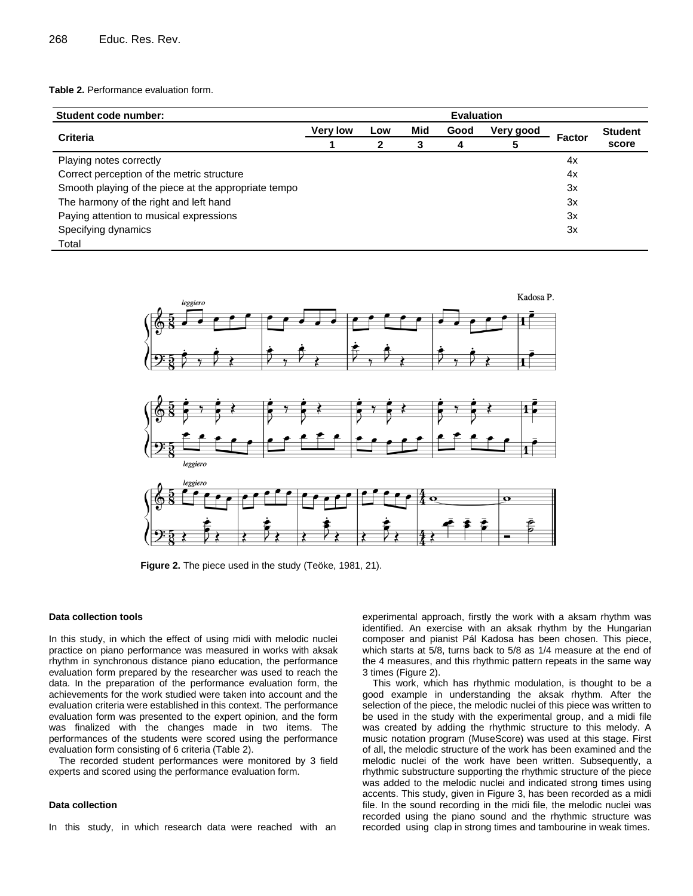#### **Table 2.** Performance evaluation form.

| Student code number:                                 | <b>Evaluation</b> |          |          |           |                |        |                         |  |
|------------------------------------------------------|-------------------|----------|----------|-----------|----------------|--------|-------------------------|--|
|                                                      | <b>Very low</b>   | Low<br>2 | Mid<br>3 | Good<br>4 | Very good<br>5 | Factor | <b>Student</b><br>score |  |
| <b>Criteria</b>                                      |                   |          |          |           |                |        |                         |  |
| Playing notes correctly                              |                   |          |          |           |                | 4x     |                         |  |
| Correct perception of the metric structure           |                   |          |          |           |                | 4x     |                         |  |
| Smooth playing of the piece at the appropriate tempo |                   |          |          |           |                | 3x     |                         |  |
| The harmony of the right and left hand               |                   |          |          |           |                | 3x     |                         |  |
| Paying attention to musical expressions              |                   |          |          |           |                | 3x     |                         |  |
| Specifying dynamics                                  |                   |          |          |           |                | 3x     |                         |  |
| Total                                                |                   |          |          |           |                |        |                         |  |



**Figure 2.** The piece used in the study (Teöke, 1981, 21).

#### **Data collection tools**

In this study, in which the effect of using midi with melodic nuclei practice on piano performance was measured in works with aksak rhythm in synchronous distance piano education, the performance evaluation form prepared by the researcher was used to reach the data. In the preparation of the performance evaluation form, the achievements for the work studied were taken into account and the evaluation criteria were established in this context. The performance evaluation form was presented to the expert opinion, and the form was finalized with the changes made in two items. The performances of the students were scored using the performance evaluation form consisting of 6 criteria (Table 2).

The recorded student performances were monitored by 3 field experts and scored using the performance evaluation form.

#### **Data collection**

In this study, in which research data were reached with an

experimental approach, firstly the work with a aksam rhythm was identified. An exercise with an aksak rhythm by the Hungarian composer and pianist Pál Kadosa has been chosen. This piece, which starts at 5/8, turns back to 5/8 as 1/4 measure at the end of the 4 measures, and this rhythmic pattern repeats in the same way 3 times (Figure 2).

This work, which has rhythmic modulation, is thought to be a good example in understanding the aksak rhythm. After the selection of the piece, the melodic nuclei of this piece was written to be used in the study with the experimental group, and a midi file was created by adding the rhythmic structure to this melody. A music notation program (MuseScore) was used at this stage. First of all, the melodic structure of the work has been examined and the melodic nuclei of the work have been written. Subsequently, a rhythmic substructure supporting the rhythmic structure of the piece was added to the melodic nuclei and indicated strong times using accents. This study, given in Figure 3, has been recorded as a midi file. In the sound recording in the midi file, the melodic nuclei was recorded using the piano sound and the rhythmic structure was recorded using clap in strong times and tambourine in weak times.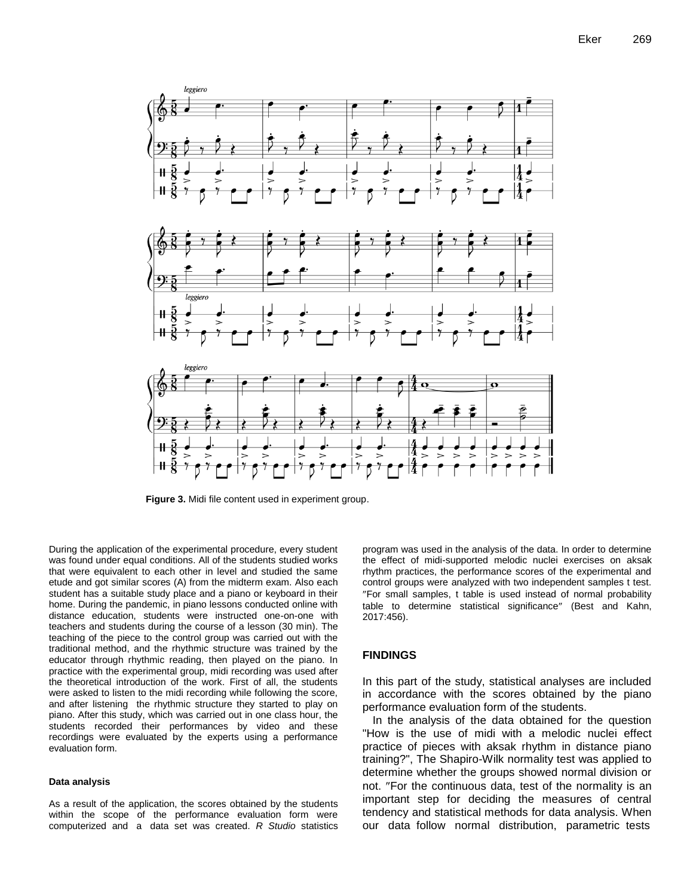

**Figure 3.** Midi file content used in experiment group.

During the application of the experimental procedure, every student was found under equal conditions. All of the students studied works that were equivalent to each other in level and studied the same etude and got similar scores (A) from the midterm exam. Also each student has a suitable study place and a piano or keyboard in their home. During the pandemic, in piano lessons conducted online with distance education, students were instructed one-on-one with teachers and students during the course of a lesson (30 min). The teaching of the piece to the control group was carried out with the traditional method, and the rhythmic structure was trained by the educator through rhythmic reading, then played on the piano. In practice with the experimental group, midi recording was used after the theoretical introduction of the work. First of all, the students were asked to listen to the midi recording while following the score, and after listening the rhythmic structure they started to play on piano. After this study, which was carried out in one class hour, the students recorded their performances by video and these recordings were evaluated by the experts using a performance evaluation form.

#### **Data analysis**

As a result of the application, the scores obtained by the students within the scope of the performance evaluation form were computerized and a data set was created. *R Studio* statistics

program was used in the analysis of the data. In order to determine the effect of midi-supported melodic nuclei exercises on aksak rhythm practices, the performance scores of the experimental and control groups were analyzed with two independent samples t test. For small samples, t table is used instead of normal probability table to determine statistical significance" (Best and Kahn, 2017:456).

## **FINDINGS**

In this part of the study, statistical analyses are included in accordance with the scores obtained by the piano performance evaluation form of the students.

In the analysis of the data obtained for the question "How is the use of midi with a melodic nuclei effect practice of pieces with aksak rhythm in distance piano training?", The Shapiro-Wilk normality test was applied to determine whether the groups showed normal division or not. "For the continuous data, test of the normality is an important step for deciding the measures of central tendency and statistical methods for data analysis. When our data follow normal distribution, parametric tests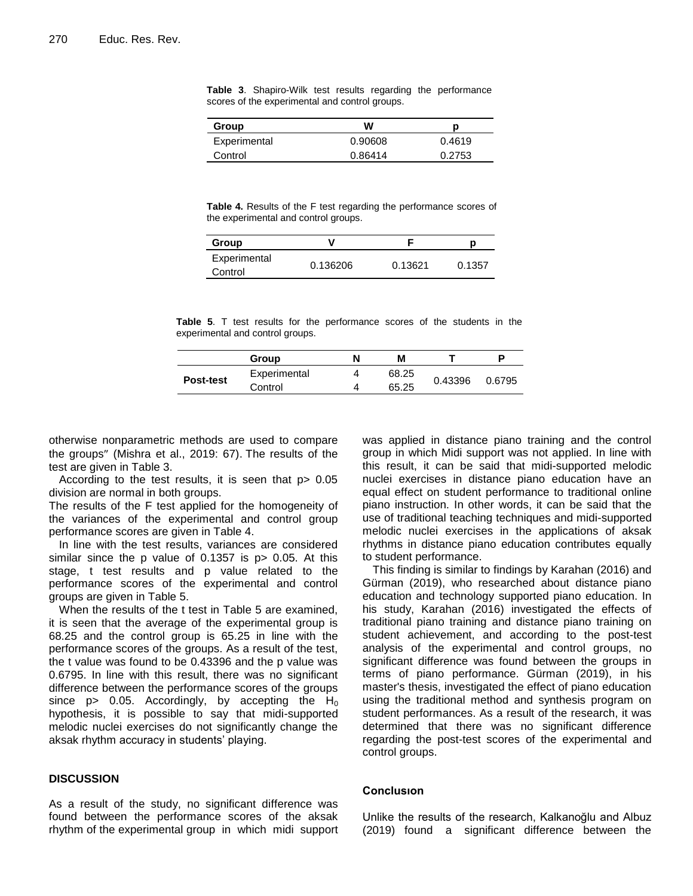|  | Table 3. Shapiro-Wilk test results regarding the performance |  |  |  |
|--|--------------------------------------------------------------|--|--|--|
|  | scores of the experimental and control groups.               |  |  |  |

| Group        | w       |        |
|--------------|---------|--------|
| Experimental | 0.90608 | 0.4619 |
| Control      | 0.86414 | 0.2753 |

**Table 4.** Results of the F test regarding the performance scores of the experimental and control groups.

| Group                   | v        |         |        |
|-------------------------|----------|---------|--------|
| Experimental<br>Control | 0.136206 | 0.13621 | 0.1357 |

**Table 5**. T test results for the performance scores of the students in the experimental and control groups.

|           | Group        | N | м     |         |        |
|-----------|--------------|---|-------|---------|--------|
| Post-test | Experimental |   | 68.25 |         | 0.6795 |
|           | Control      |   | 65.25 | 0.43396 |        |

otherwise nonparametric methods are used to compare the groups" (Mishra et al., 2019: 67). The results of the test are given in Table 3.

According to the test results, it is seen that p> 0.05 division are normal in both groups.

The results of the F test applied for the homogeneity of the variances of the experimental and control group performance scores are given in Table 4.

In line with the test results, variances are considered similar since the p value of  $0.1357$  is  $p > 0.05$ . At this stage, t test results and p value related to the performance scores of the experimental and control groups are given in Table 5.

When the results of the t test in Table 5 are examined, it is seen that the average of the experimental group is 68.25 and the control group is 65.25 in line with the performance scores of the groups. As a result of the test, the t value was found to be 0.43396 and the p value was 0.6795. In line with this result, there was no significant difference between the performance scores of the groups since  $p > 0.05$ . Accordingly, by accepting the H<sub>0</sub> hypothesis, it is possible to say that midi-supported melodic nuclei exercises do not significantly change the aksak rhythm accuracy in students' playing.

## **DISCUSSION**

As a result of the study, no significant difference was found between the performance scores of the aksak rhythm of the experimental group in which midi support was applied in distance piano training and the control group in which Midi support was not applied. In line with this result, it can be said that midi-supported melodic nuclei exercises in distance piano education have an equal effect on student performance to traditional online piano instruction. In other words, it can be said that the use of traditional teaching techniques and midi-supported melodic nuclei exercises in the applications of aksak rhythms in distance piano education contributes equally to student performance.

This finding is similar to findings by Karahan (2016) and Gürman (2019), who researched about distance piano education and technology supported piano education. In his study, Karahan (2016) investigated the effects of traditional piano training and distance piano training on student achievement, and according to the post-test analysis of the experimental and control groups, no significant difference was found between the groups in terms of piano performance. Gürman (2019), in his master's thesis, investigated the effect of piano education using the traditional method and synthesis program on student performances. As a result of the research, it was determined that there was no significant difference regarding the post-test scores of the experimental and control groups.

#### **Conclusıon**

Unlike the results of the research, Kalkanoğlu and Albuz (2019) found a significant difference between the